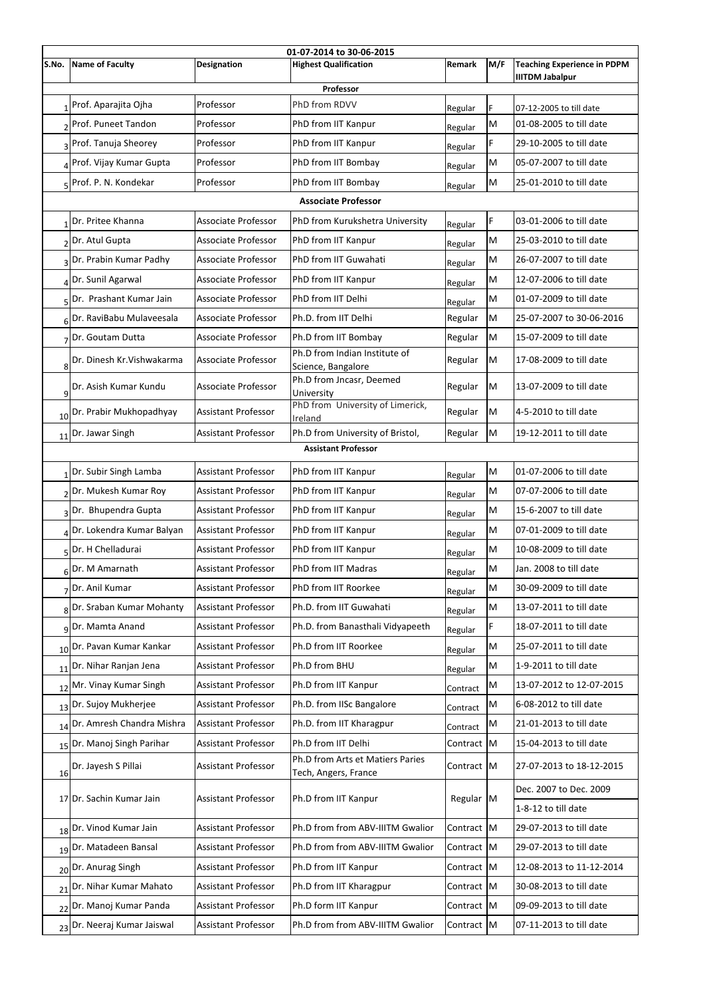| 01-07-2014 to 30-06-2015   |                                      |                            |                                                          |               |     |                                                              |  |  |  |  |
|----------------------------|--------------------------------------|----------------------------|----------------------------------------------------------|---------------|-----|--------------------------------------------------------------|--|--|--|--|
| S.No.                      | Name of Faculty                      | <b>Designation</b>         | <b>Highest Qualification</b>                             | <b>Remark</b> | M/F | <b>Teaching Experience in PDPM</b><br><b>IIITDM Jabalpur</b> |  |  |  |  |
|                            |                                      |                            | Professor                                                |               |     |                                                              |  |  |  |  |
|                            | Prof. Aparajita Ojha                 | Professor                  | PhD from RDVV                                            | Regular       | F.  | 07-12-2005 to till date                                      |  |  |  |  |
|                            | 2 Prof. Puneet Tandon                | Professor                  | PhD from IIT Kanpur                                      | Regular       | M   | 01-08-2005 to till date                                      |  |  |  |  |
|                            | 3 Prof. Tanuja Sheorey               | Professor                  | PhD from IIT Kanpur                                      | Regular       | F   | 29-10-2005 to till date                                      |  |  |  |  |
|                            | <sub>4</sub> Prof. Vijay Kumar Gupta | Professor                  | PhD from IIT Bombay                                      | Regular       | M   | 05-07-2007 to till date                                      |  |  |  |  |
|                            | 5 Prof. P. N. Kondekar               | Professor                  | PhD from IIT Bombay                                      | Regular       | M   | 25-01-2010 to till date                                      |  |  |  |  |
| <b>Associate Professor</b> |                                      |                            |                                                          |               |     |                                                              |  |  |  |  |
|                            | Dr. Pritee Khanna                    | <b>Associate Professor</b> | PhD from Kurukshetra University                          | Regular       | F   | 03-01-2006 to till date                                      |  |  |  |  |
|                            | 2Dr. Atul Gupta                      | <b>Associate Professor</b> | PhD from IIT Kanpur                                      | Regular       | M   | 25-03-2010 to till date                                      |  |  |  |  |
|                            | 3 Dr. Prabin Kumar Padhy             | <b>Associate Professor</b> | PhD from IIT Guwahati                                    | Regular       | M   | 26-07-2007 to till date                                      |  |  |  |  |
|                            | $\triangle$ Dr. Sunil Agarwal        | <b>Associate Professor</b> | PhD from IIT Kanpur                                      | Regular       | M   | 12-07-2006 to till date                                      |  |  |  |  |
|                            | 5 Dr. Prashant Kumar Jain            | <b>Associate Professor</b> | PhD from IIT Delhi                                       | Regular       | M   | 01-07-2009 to till date                                      |  |  |  |  |
|                            | 6 Dr. RaviBabu Mulaveesala           | Associate Professor        | Ph.D. from IIT Delhi                                     | Regular       | M   | 25-07-2007 to 30-06-2016                                     |  |  |  |  |
|                            | 7 Dr. Goutam Dutta                   | <b>Associate Professor</b> | Ph.D from IIT Bombay                                     | Regular       | M   | 15-07-2009 to till date                                      |  |  |  |  |
| 8                          | Dr. Dinesh Kr. Vishwakarma           | <b>Associate Professor</b> | Ph.D from Indian Institute of<br>Science, Bangalore      | Regular       | M   | 17-08-2009 to till date                                      |  |  |  |  |
| 9                          | Dr. Asish Kumar Kundu                | <b>Associate Professor</b> | Ph.D from Jncasr, Deemed<br>University                   | Regular       | M   | 13-07-2009 to till date                                      |  |  |  |  |
| 10                         | Dr. Prabir Mukhopadhyay              | Assistant Professor        | PhD from University of Limerick,<br>Ireland              | Regular       | M   | 4-5-2010 to till date                                        |  |  |  |  |
|                            | 11 Dr. Jawar Singh                   | <b>Assistant Professor</b> | Ph.D from University of Bristol,                         | Regular       | M   | 19-12-2011 to till date                                      |  |  |  |  |
|                            |                                      |                            | <b>Assistant Professor</b>                               |               |     |                                                              |  |  |  |  |
|                            | Dr. Subir Singh Lamba                | <b>Assistant Professor</b> | PhD from IIT Kanpur                                      | Regular       | M   | 01-07-2006 to till date                                      |  |  |  |  |
|                            | 2Dr. Mukesh Kumar Roy                | <b>Assistant Professor</b> | PhD from IIT Kanpur                                      | Regular       | M   | 07-07-2006 to till date                                      |  |  |  |  |
|                            | 3 Dr. Bhupendra Gupta                | <b>Assistant Professor</b> | PhD from IIT Kanpur                                      | Regular       | M   | 15-6-2007 to till date                                       |  |  |  |  |
|                            | 4Dr. Lokendra Kumar Balyan           | <b>Assistant Professor</b> | PhD from IIT Kanpur                                      | Regular       | M   | 07-01-2009 to till date                                      |  |  |  |  |
|                            | 5 <sup>Dr.</sup> H Chelladurai       | <b>Assistant Professor</b> | PhD from IIT Kanpur                                      | Regular       | M   | 10-08-2009 to till date                                      |  |  |  |  |
|                            | 6 <sup>Dr.</sup> M Amarnath          | <b>Assistant Professor</b> | PhD from IIT Madras                                      | Regular       | M   | Jan. 2008 to till date                                       |  |  |  |  |
|                            | Dr. Anil Kumar                       | <b>Assistant Professor</b> | PhD from IIT Roorkee                                     | Regular       | M   | 30-09-2009 to till date                                      |  |  |  |  |
|                            | 8Dr. Sraban Kumar Mohanty            | <b>Assistant Professor</b> | Ph.D. from IIT Guwahati                                  | Regular       | M   | 13-07-2011 to till date                                      |  |  |  |  |
|                            | 9Dr. Mamta Anand                     | <b>Assistant Professor</b> | Ph.D. from Banasthali Vidyapeeth                         | Regular       | F.  | 18-07-2011 to till date                                      |  |  |  |  |
|                            | 10 Dr. Pavan Kumar Kankar            | <b>Assistant Professor</b> | Ph.D from IIT Roorkee                                    | Regular       | M   | 25-07-2011 to till date                                      |  |  |  |  |
|                            | 11 Dr. Nihar Ranjan Jena             | <b>Assistant Professor</b> | Ph.D from BHU                                            | Regular       | M   | 1-9-2011 to till date                                        |  |  |  |  |
|                            | 12 Mr. Vinay Kumar Singh             | <b>Assistant Professor</b> | Ph.D from IIT Kanpur                                     | Contract      | M   | 13-07-2012 to 12-07-2015                                     |  |  |  |  |
|                            | 13 Dr. Sujoy Mukherjee               | <b>Assistant Professor</b> | Ph.D. from IISc Bangalore                                | Contract      | M   | 6-08-2012 to till date                                       |  |  |  |  |
|                            | 14 Dr. Amresh Chandra Mishra         | <b>Assistant Professor</b> | Ph.D. from IIT Kharagpur                                 | Contract      | M   | 21-01-2013 to till date                                      |  |  |  |  |
| 15                         | Dr. Manoj Singh Parihar              | <b>Assistant Professor</b> | Ph.D from IIT Delhi                                      | Contract M    |     | 15-04-2013 to till date                                      |  |  |  |  |
| 16                         | Dr. Jayesh S Pillai                  | <b>Assistant Professor</b> | Ph.D from Arts et Matiers Paries<br>Tech, Angers, France | Contract M    |     | 27-07-2013 to 18-12-2015                                     |  |  |  |  |
|                            | 17 Dr. Sachin Kumar Jain             | <b>Assistant Professor</b> | Ph.D from IIT Kanpur                                     | Regular M     |     | Dec. 2007 to Dec. 2009                                       |  |  |  |  |
|                            |                                      |                            |                                                          |               |     | 1-8-12 to till date                                          |  |  |  |  |
|                            | 18Dr. Vinod Kumar Jain               | <b>Assistant Professor</b> | Ph.D from from ABV-IIITM Gwalior                         | Contract M    |     | 29-07-2013 to till date                                      |  |  |  |  |
|                            | 19 Dr. Matadeen Bansal               | <b>Assistant Professor</b> | Ph.D from from ABV-IIITM Gwalior                         | Contract M    |     | 29-07-2013 to till date                                      |  |  |  |  |
|                            | 20 Dr. Anurag Singh                  | <b>Assistant Professor</b> | Ph.D from IIT Kanpur                                     | Contract   M  |     | 12-08-2013 to 11-12-2014                                     |  |  |  |  |
|                            | 21 Dr. Nihar Kumar Mahato            | <b>Assistant Professor</b> | Ph.D from IIT Kharagpur                                  | Contract M    |     | 30-08-2013 to till date                                      |  |  |  |  |
|                            | 22 Dr. Manoj Kumar Panda             | <b>Assistant Professor</b> | Ph.D form IIT Kanpur                                     | Contract M    |     | 09-09-2013 to till date                                      |  |  |  |  |
|                            | 23 Dr. Neeraj Kumar Jaiswal          | <b>Assistant Professor</b> | Ph.D from from ABV-IIITM Gwalior                         | Contract M    |     | 07-11-2013 to till date                                      |  |  |  |  |